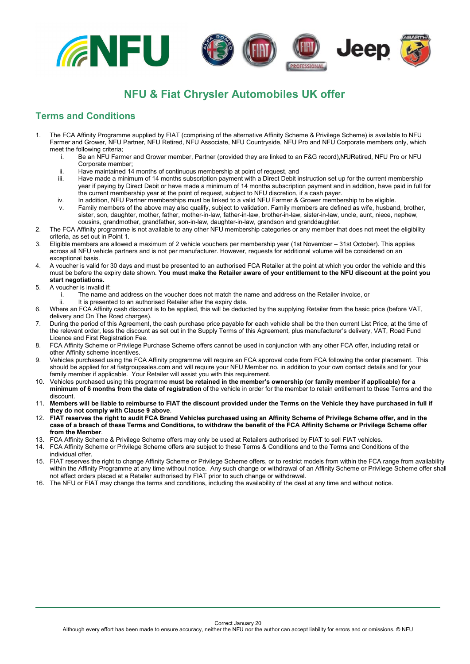

## **NFU & Fiat Chrysler Automobiles UK offer**

## **Terms and Conditions**

- 1. The FCA Affinity Programme supplied by FIAT (comprising of the alternative Affinity Scheme & Privilege Scheme) is available to NFU Farmer and Grower, NFU Partner, NFU Retired, NFU Associate, NFU Countryside, NFU Pro and NFU Corporate members only, which meet the following criteria;
	- i. Be an NFU Farmer and Grower member, Partner (provided they are linked to an F&G record), NURetired, NFU Pro or NFU Corporate member;
	- ii. Have maintained 14 months of continuous membership at point of request, and
	- Have made a minimum of 14 months subscription payment with a Direct Debit instruction set up for the current membership year if paying by Direct Debit or have made a minimum of 14 months subscription payment and in addition, have paid in full for the current membership year at the point of request, subject to NFU discretion, if a cash payer.
	- iv. In addition, NFU Partner memberships must be linked to a valid NFU Farmer & Grower membership to be eligible.
	- v. Family members of the above may also qualify, subject to validation. Family members are defined as wife, husband, brother, sister, son, daughter, mother, father, mother-in-law, father-in-law, brother-in-law, sister-in-law, uncle, aunt, niece, nephew, cousins, grandmother, grandfather, son-in-law, daughter-in-law, grandson and granddaughter.
- 2. The FCA Affinity programme is not available to any other NFU membership categories or any member that does not meet the eligibility criteria, as set out in Point 1.
- 3. Eligible members are allowed a maximum of 2 vehicle vouchers per membership year (1st November 31st October). This applies across all NFU vehicle partners and is not per manufacturer. However, requests for additional volume will be considered on an exceptional basis.
- 4. A voucher is valid for 30 days and must be presented to an authorised FCA Retailer at the point at which you order the vehicle and this must be before the expiry date shown. **You must make the Retailer aware of your entitlement to the NFU discount at the point you start negotiations.**
- 5. A voucher is invalid if:
	- i. The name and address on the voucher does not match the name and address on the Retailer invoice, or<br>ii It is presented to an authorised Retailer after the expiry date
- It is presented to an authorised Retailer after the expiry date.
- 6. Where an FCA Affinity cash discount is to be applied, this will be deducted by the supplying Retailer from the basic price (before VAT, delivery and On The Road charges).
- 7. During the period of this Agreement, the cash purchase price payable for each vehicle shall be the then current List Price, at the time of the relevant order, less the discount as set out in the Supply Terms of this Agreement, plus manufacturer's delivery, VAT, Road Fund Licence and First Registration Fee.
- 8. FCA Affinity Scheme or Privilege Purchase Scheme offers cannot be used in conjunction with any other FCA offer, including retail or other Affinity scheme incentives.
- 9. Vehicles purchased using the FCA Affinity programme will require an FCA approval code from FCA following the order placement. This should be applied for at fiatgroupsales.com and will require your NFU Member no. in addition to your own contact details and for your family member if applicable. Your Retailer will assist you with this requirement.
- 10. Vehicles purchased using this programme **must be retained in the member's ownership (or family member if applicable) for a minimum of 6 months from the date of registration** of the vehicle in order for the member to retain entitlement to these Terms and the discount.
- 11. **Members will be liable to reimburse to FIAT the discount provided under the Terms on the Vehicle they have purchased in full if they do not comply with Clause 9 above**.
- 12. **FIAT reserves the right to audit FCA Brand Vehicles purchased using an Affinity Scheme of Privilege Scheme offer, and in the case of a breach of these Terms and Conditions, to withdraw the benefit of the FCA Affinity Scheme or Privilege Scheme offer from the Member**.
- 13. FCA Affinity Scheme & Privilege Scheme offers may only be used at Retailers authorised by FIAT to sell FIAT vehicles.
- 14. FCA Affinity Scheme or Privilege Scheme offers are subject to these Terms & Conditions and to the Terms and Conditions of the individual offer.
- 15. FIAT reserves the right to change Affinity Scheme or Privilege Scheme offers, or to restrict models from within the FCA range from availability within the Affinity Programme at any time without notice. Any such change or withdrawal of an Affinity Scheme or Privilege Scheme offer shall not affect orders placed at a Retailer authorised by FIAT prior to such change or withdrawal.
- 16. The NFU or FIAT may change the terms and conditions, including the availability of the deal at any time and without notice.